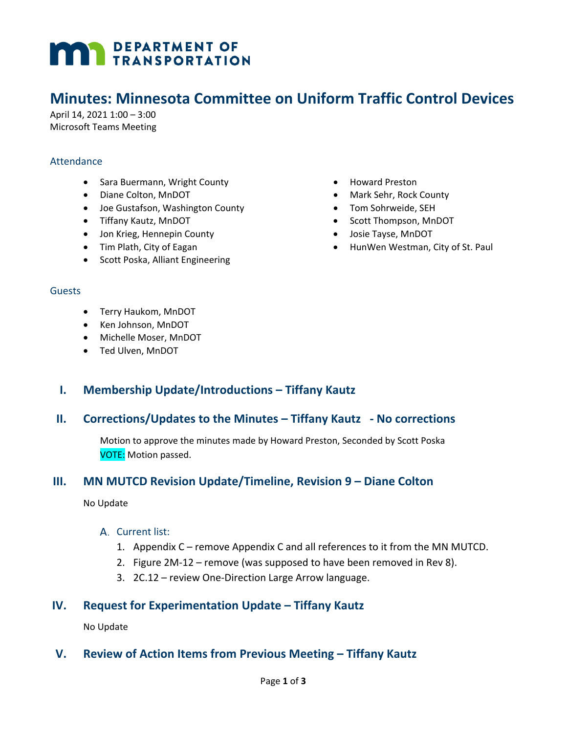# **MAN** DEPARTMENT OF

# **Minutes: Minnesota Committee on Uniform Traffic Control Devices**

April 14, 2021 1:00 – 3:00 Microsoft Teams Meeting

#### Attendance

- Sara Buermann, Wright County
- Diane Colton, MnDOT
- Joe Gustafson, Washington County
- Tiffany Kautz, MnDOT
- Jon Krieg, Hennepin County
- Tim Plath, City of Eagan
- Scott Poska, Alliant Engineering
- Howard Preston
- Mark Sehr, Rock County
- Tom Sohrweide, SEH
- Scott Thompson, MnDOT
- Josie Tayse, MnDOT
- HunWen Westman, City of St. Paul

#### **Guests**

- Terry Haukom, MnDOT
- Ken Johnson, MnDOT
- Michelle Moser, MnDOT
- Ted Ulven, MnDOT

# **I. Membership Update/Introductions – Tiffany Kautz**

# **II. Corrections/Updates to the Minutes – Tiffany Kautz - No corrections**

Motion to approve the minutes made by Howard Preston, Seconded by Scott Poska VOTE: Motion passed.

# **III. MN MUTCD Revision Update/Timeline, Revision 9 – Diane Colton**

No Update

#### A. Current list:

- 1. Appendix C remove Appendix C and all references to it from the MN MUTCD.
- 2. Figure 2M-12 remove (was supposed to have been removed in Rev 8).
- 3. 2C.12 review One-Direction Large Arrow language.

# **IV. Request for Experimentation Update – Tiffany Kautz**

No Update

# **V. Review of Action Items from Previous Meeting – Tiffany Kautz**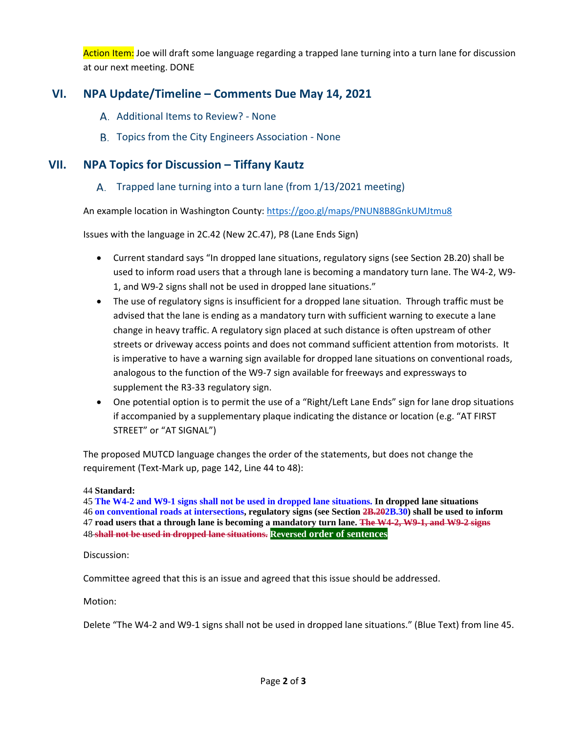Action Item: Joe will draft some language regarding a trapped lane turning into a turn lane for discussion at our next meeting. DONE

# **VI. NPA Update/Timeline – Comments Due May 14, 2021**

- A. Additional Items to Review? None
- B. Topics from the City Engineers Association None

# **VII. NPA Topics for Discussion – Tiffany Kautz**

A. Trapped lane turning into a turn lane (from 1/13/2021 meeting)

An example location in Washington County: [https://goo.gl/maps/PNUN8B8GnkUMJtmu8](https://gcc02.safelinks.protection.outlook.com/?url=https%3A%2F%2Fgoo.gl%2Fmaps%2FPNUN8B8GnkUMJtmu8&data=04%7C01%7Cdiane.colton%40state.mn.us%7C4d5224df9d9e4226b2bf08d8fedd4999%7Ceb14b04624c445198f26b89c2159828c%7C0%7C0%7C637539573687513271%7CUnknown%7CTWFpbGZsb3d8eyJWIjoiMC4wLjAwMDAiLCJQIjoiV2luMzIiLCJBTiI6Ik1haWwiLCJXVCI6Mn0%3D%7C1000&sdata=K9gubUmzMiENAXcFl4AahUaiaod1u1BniwpK0bkVMDI%3D&reserved=0)

Issues with the language in 2C.42 (New 2C.47), P8 (Lane Ends Sign)

- Current standard says "In dropped lane situations, regulatory signs (see Section 2B.20) shall be used to inform road users that a through lane is becoming a mandatory turn lane. The W4-2, W9- 1, and W9-2 signs shall not be used in dropped lane situations."
- The use of regulatory signs is insufficient for a dropped lane situation. Through traffic must be advised that the lane is ending as a mandatory turn with sufficient warning to execute a lane change in heavy traffic. A regulatory sign placed at such distance is often upstream of other streets or driveway access points and does not command sufficient attention from motorists. It is imperative to have a warning sign available for dropped lane situations on conventional roads, analogous to the function of the W9-7 sign available for freeways and expressways to supplement the R3-33 regulatory sign.
- One potential option is to permit the use of a "Right/Left Lane Ends" sign for lane drop situations if accompanied by a supplementary plaque indicating the distance or location (e.g. "AT FIRST STREET" or "AT SIGNAL")

The proposed MUTCD language changes the order of the statements, but does not change the requirement (Text-Mark up, page 142, Line 44 to 48):

#### 44 **Standard:**

**The W4-2 and W9-1 signs shall not be used in dropped lane situations. In dropped lane situations on conventional roads at intersections, regulatory signs (see Section 2B.202B.30) shall be used to inform road users that a through lane is becoming a mandatory turn lane. The W4-2, W9-1, and W9-2 signs shall not be used in dropped lane situations. Reversed order of sentences**

Discussion:

Committee agreed that this is an issue and agreed that this issue should be addressed.

Motion:

Delete "The W4-2 and W9-1 signs shall not be used in dropped lane situations." (Blue Text) from line 45.